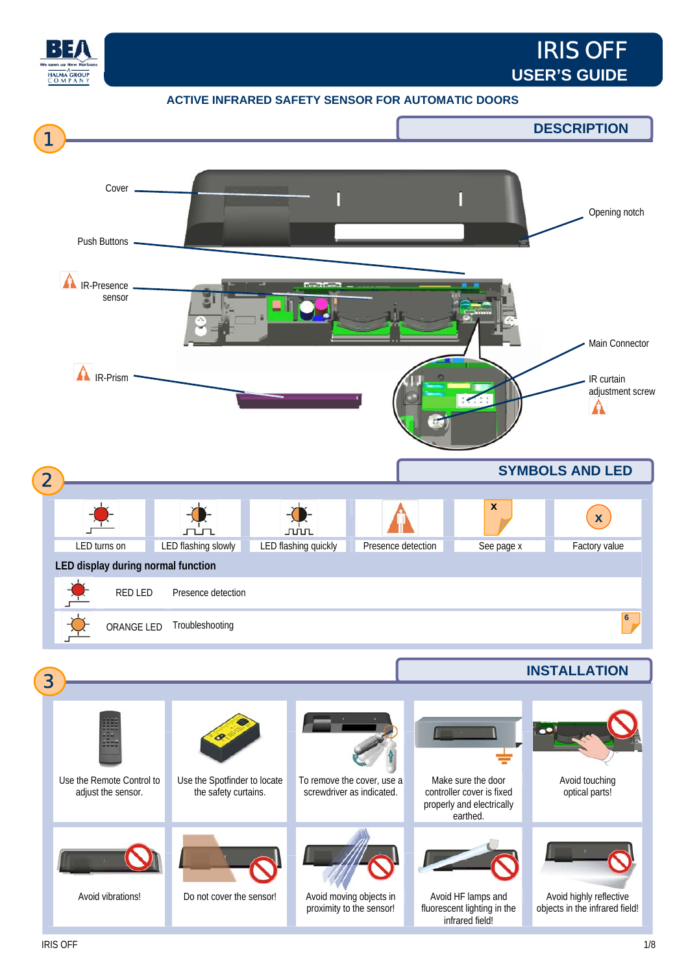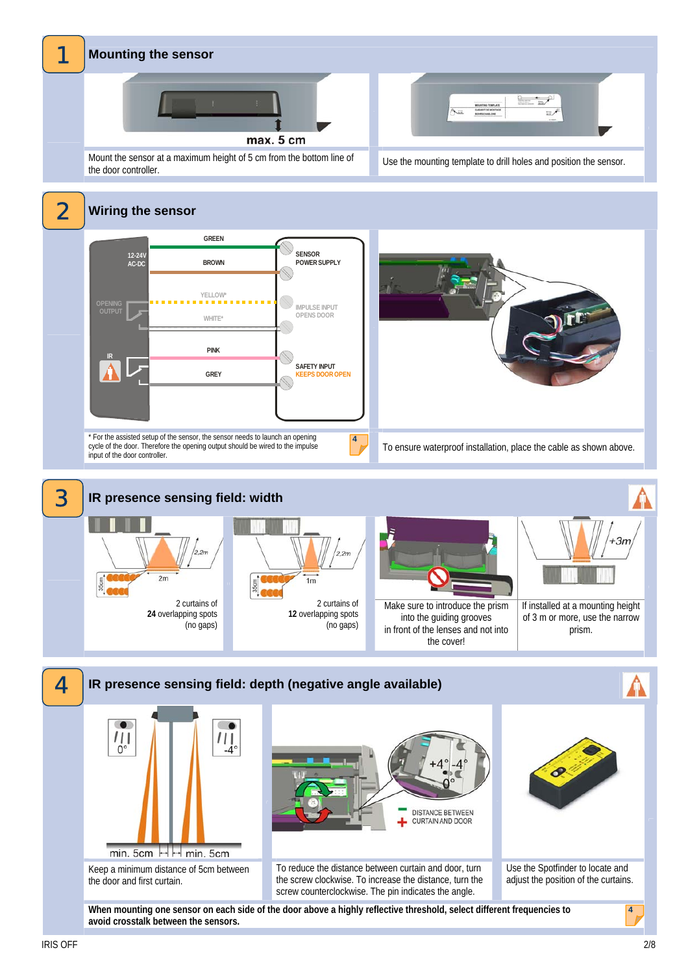

## **Mounting the sensor**



 $= -2$ MOUNTING TEMPLATE 

Mount the sensor at a maximum height of 5 cm from the bottom line of the door controller.



2 **Wiring the sensor GREEN SENSOR 12-24V AC-DC BROWN POWER SUPPLY YELLOW\* IMPULSE INPUT OPENS DOOR WHITE\* PINK IR** Ò **SAFETY INPUT GREY PS DOOR OPEN** \* For the assisted setup of the sensor, the sensor needs to launch an opening **4** cycle of the door. Therefore the opening output should be wired to the impulse input of the door controller. To ensure waterproof installation, place the cable as shown above.





**When mounting one sensor on each side of the door above a highly reflective threshold, select different frequencies to avoid crosstalk between the sensors.**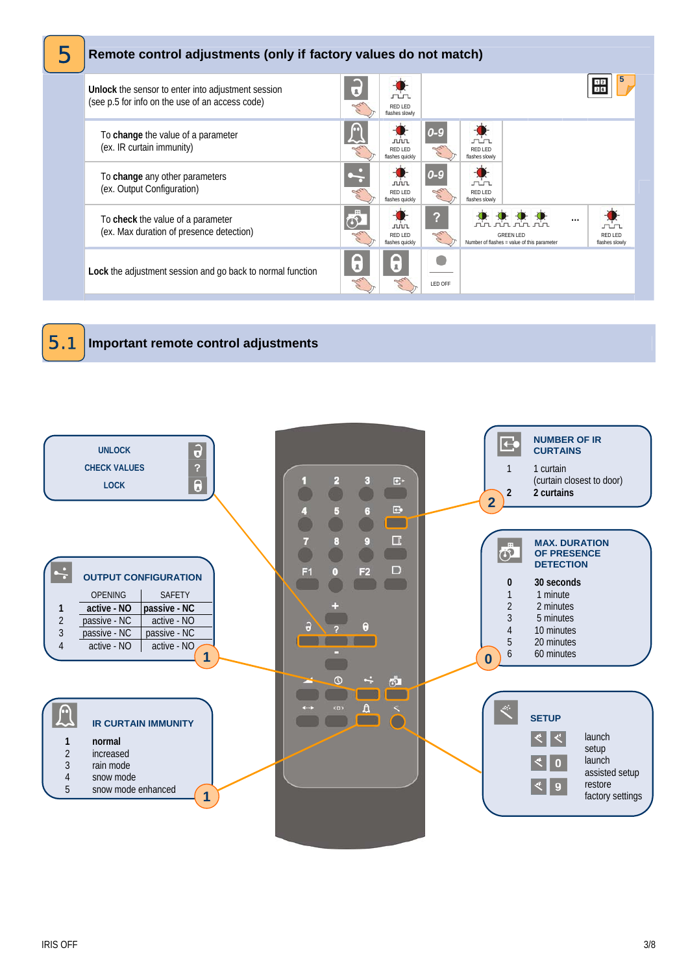



## 1 **Important remote control adjustments**

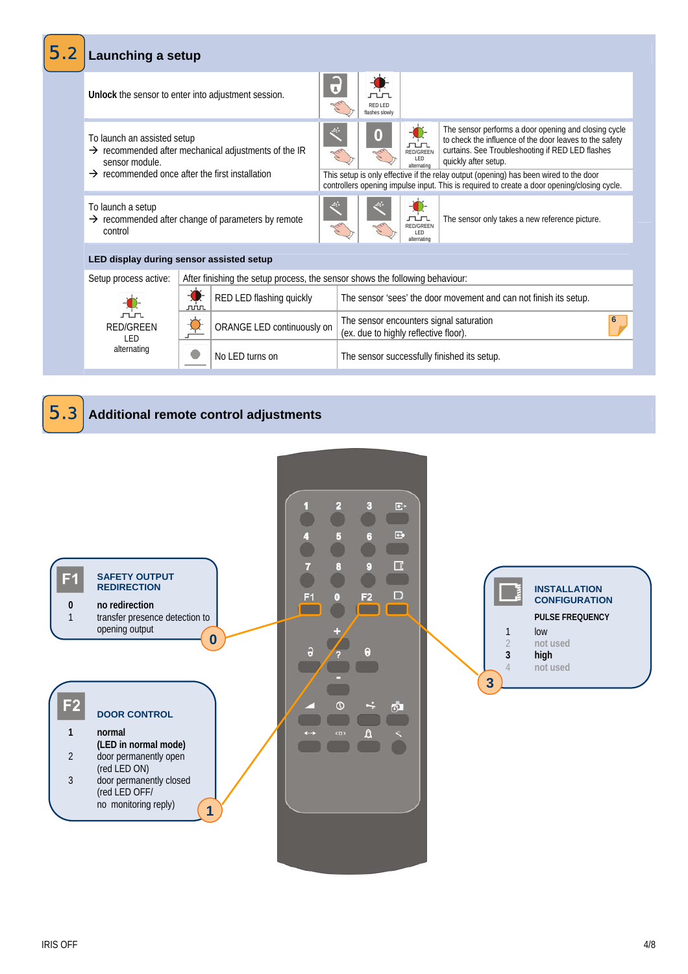

1 **Additional remote control adjustments**  5.3

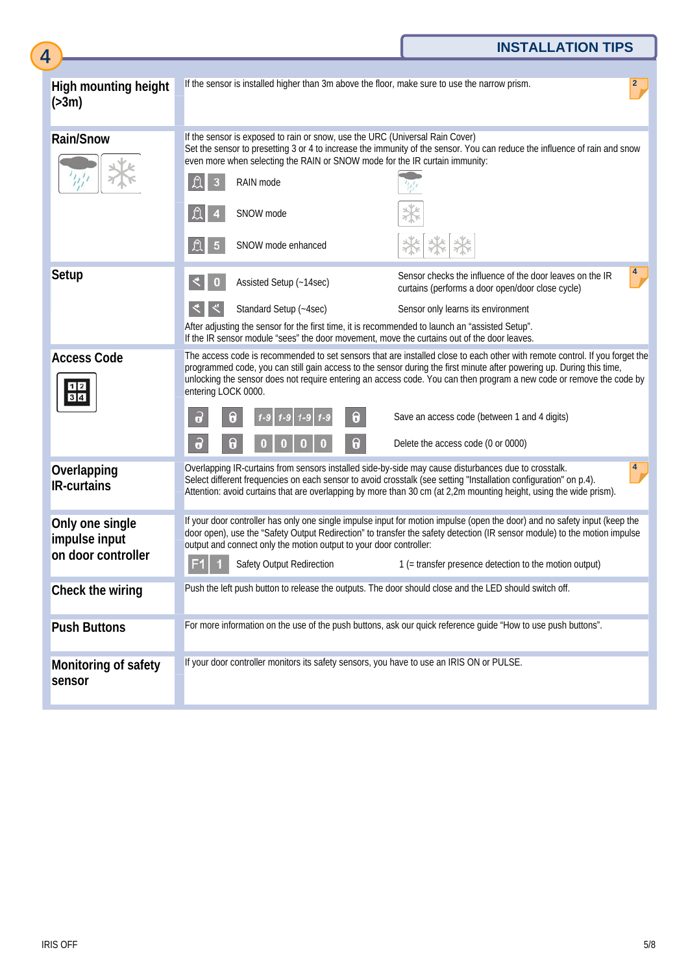|                                   |                                                                                                                                                                                                                                                                                                                                                                                                     |                                                                                                                                                             | <b>INSTALLATION TIPS</b>                                                                                                                                                                                                                                                                                                                        |  |
|-----------------------------------|-----------------------------------------------------------------------------------------------------------------------------------------------------------------------------------------------------------------------------------------------------------------------------------------------------------------------------------------------------------------------------------------------------|-------------------------------------------------------------------------------------------------------------------------------------------------------------|-------------------------------------------------------------------------------------------------------------------------------------------------------------------------------------------------------------------------------------------------------------------------------------------------------------------------------------------------|--|
| 4                                 |                                                                                                                                                                                                                                                                                                                                                                                                     |                                                                                                                                                             |                                                                                                                                                                                                                                                                                                                                                 |  |
| High mounting height<br>( > 3m)   |                                                                                                                                                                                                                                                                                                                                                                                                     |                                                                                                                                                             | If the sensor is installed higher than 3m above the floor, make sure to use the narrow prism.                                                                                                                                                                                                                                                   |  |
| <b>Rain/Snow</b>                  |                                                                                                                                                                                                                                                                                                                                                                                                     | If the sensor is exposed to rain or snow, use the URC (Universal Rain Cover)<br>even more when selecting the RAIN or SNOW mode for the IR curtain immunity: | Set the sensor to presetting 3 or 4 to increase the immunity of the sensor. You can reduce the influence of rain and snow                                                                                                                                                                                                                       |  |
|                                   | 3                                                                                                                                                                                                                                                                                                                                                                                                   | RAIN mode                                                                                                                                                   |                                                                                                                                                                                                                                                                                                                                                 |  |
|                                   |                                                                                                                                                                                                                                                                                                                                                                                                     | SNOW mode                                                                                                                                                   |                                                                                                                                                                                                                                                                                                                                                 |  |
|                                   | $\mathfrak{L}$<br>$5\overline{5}$                                                                                                                                                                                                                                                                                                                                                                   | SNOW mode enhanced                                                                                                                                          |                                                                                                                                                                                                                                                                                                                                                 |  |
| Setup                             | $\bf{0}$                                                                                                                                                                                                                                                                                                                                                                                            | Assisted Setup (~14sec)                                                                                                                                     | Sensor checks the influence of the door leaves on the IR<br>curtains (performs a door open/door close cycle)                                                                                                                                                                                                                                    |  |
|                                   |                                                                                                                                                                                                                                                                                                                                                                                                     | Standard Setup (~4sec)                                                                                                                                      | Sensor only learns its environment                                                                                                                                                                                                                                                                                                              |  |
|                                   | After adjusting the sensor for the first time, it is recommended to launch an "assisted Setup".<br>If the IR sensor module "sees" the door movement, move the curtains out of the door leaves.                                                                                                                                                                                                      |                                                                                                                                                             |                                                                                                                                                                                                                                                                                                                                                 |  |
| <b>Access Code</b><br>1 2 <br>3 4 | The access code is recommended to set sensors that are installed close to each other with remote control. If you forget the<br>programmed code, you can still gain access to the sensor during the first minute after powering up. During this time,<br>unlocking the sensor does not require entering an access code. You can then program a new code or remove the code by<br>entering LOCK 0000. |                                                                                                                                                             |                                                                                                                                                                                                                                                                                                                                                 |  |
|                                   | $\partial$                                                                                                                                                                                                                                                                                                                                                                                          | 0<br>0                                                                                                                                                      | Save an access code (between 1 and 4 digits)                                                                                                                                                                                                                                                                                                    |  |
|                                   | $\partial$                                                                                                                                                                                                                                                                                                                                                                                          | $\pmb{\theta}$<br>$\theta$<br>$\bf{0}$<br>0<br>$\mathbf{0}$<br>$\bf{0}$                                                                                     | Delete the access code (0 or 0000)                                                                                                                                                                                                                                                                                                              |  |
| Overlapping<br><b>IR-curtains</b> |                                                                                                                                                                                                                                                                                                                                                                                                     |                                                                                                                                                             | Overlapping IR-curtains from sensors installed side-by-side may cause disturbances due to crosstalk.<br>Select different frequencies on each sensor to avoid crosstalk (see setting "Installation configuration" on p.4).<br>Attention: avoid curtains that are overlapping by more than 30 cm (at 2,2m mounting height, using the wide prism). |  |
| Only one single<br>impulse input  | If your door controller has only one single impulse input for motion impulse (open the door) and no safety input (keep the<br>door open), use the "Safety Output Redirection" to transfer the safety detection (IR sensor module) to the motion impulse<br>output and connect only the motion output to your door controller:                                                                       |                                                                                                                                                             |                                                                                                                                                                                                                                                                                                                                                 |  |
| on door controller                |                                                                                                                                                                                                                                                                                                                                                                                                     | Safety Output Redirection                                                                                                                                   | 1 (= transfer presence detection to the motion output)                                                                                                                                                                                                                                                                                          |  |
| Check the wiring                  |                                                                                                                                                                                                                                                                                                                                                                                                     |                                                                                                                                                             | Push the left push button to release the outputs. The door should close and the LED should switch off.                                                                                                                                                                                                                                          |  |
| <b>Push Buttons</b>               |                                                                                                                                                                                                                                                                                                                                                                                                     |                                                                                                                                                             | For more information on the use of the push buttons, ask our quick reference guide "How to use push buttons".                                                                                                                                                                                                                                   |  |
| Monitoring of safety<br>sensor    |                                                                                                                                                                                                                                                                                                                                                                                                     |                                                                                                                                                             | If your door controller monitors its safety sensors, you have to use an IRIS ON or PULSE.                                                                                                                                                                                                                                                       |  |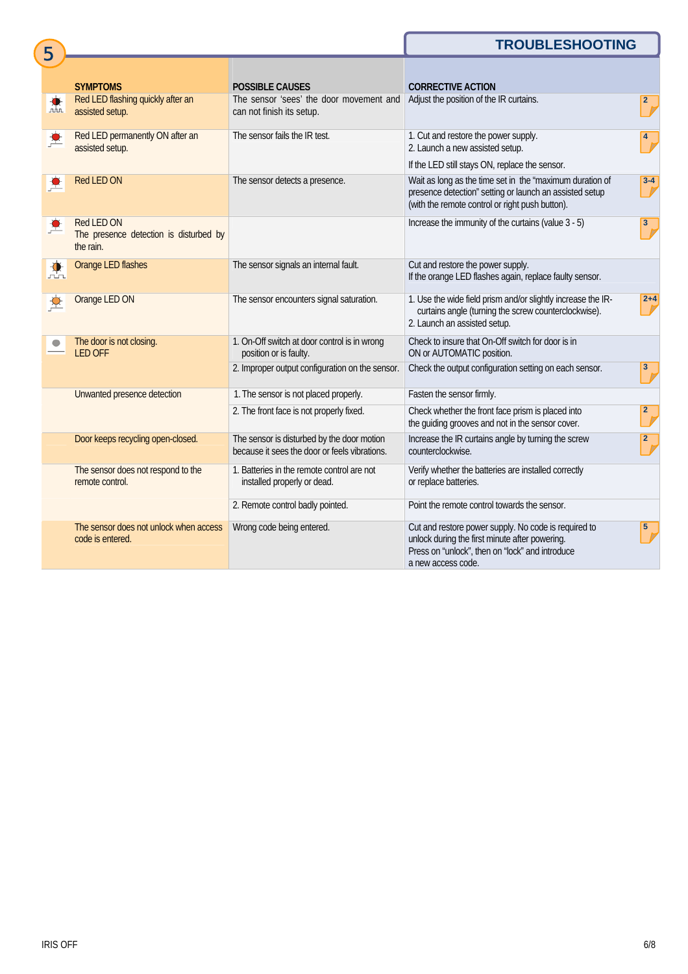## **TROUBLESHOOTING**

|     | <b>SYMPTOMS</b>                                                   | <b>POSSIBLE CAUSES</b>                                                                      | <b>CORRECTIVE ACTION</b>                                                                                                                                                        |                          |
|-----|-------------------------------------------------------------------|---------------------------------------------------------------------------------------------|---------------------------------------------------------------------------------------------------------------------------------------------------------------------------------|--------------------------|
| nn. | Red LED flashing quickly after an<br>assisted setup.              | The sensor 'sees' the door movement and<br>can not finish its setup.                        | Adjust the position of the IR curtains.                                                                                                                                         | $\overline{\frac{2}{2}}$ |
|     | Red LED permanently ON after an<br>assisted setup.                | The sensor fails the IR test.                                                               | 1. Cut and restore the power supply.<br>2. Launch a new assisted setup.<br>If the LED still stays ON, replace the sensor.                                                       |                          |
|     | Red LED ON                                                        | The sensor detects a presence.                                                              | Wait as long as the time set in the "maximum duration of<br>presence detection" setting or launch an assisted setup<br>(with the remote control or right push button).          | $3 - 4$                  |
|     | Red LED ON<br>The presence detection is disturbed by<br>the rain. |                                                                                             | Increase the immunity of the curtains (value 3 - 5)                                                                                                                             | $\mathbf{3}$             |
|     | Orange LED flashes                                                | The sensor signals an internal fault.                                                       | Cut and restore the power supply.<br>If the orange LED flashes again, replace faulty sensor.                                                                                    |                          |
|     | Orange LED ON                                                     | The sensor encounters signal saturation.                                                    | 1. Use the wide field prism and/or slightly increase the IR-<br>curtains angle (turning the screw counterclockwise).<br>2. Launch an assisted setup.                            | $2 + 4$                  |
|     | The door is not closing.<br><b>LED OFF</b>                        | 1. On-Off switch at door control is in wrong<br>position or is faulty.                      | Check to insure that On-Off switch for door is in<br>ON or AUTOMATIC position.                                                                                                  |                          |
|     |                                                                   | 2. Improper output configuration on the sensor.                                             | Check the output configuration setting on each sensor.                                                                                                                          | 3 <sup>2</sup>           |
|     | Unwanted presence detection                                       | 1. The sensor is not placed properly.                                                       | Fasten the sensor firmly.                                                                                                                                                       |                          |
|     |                                                                   | 2. The front face is not properly fixed.                                                    | Check whether the front face prism is placed into<br>the guiding grooves and not in the sensor cover.                                                                           |                          |
|     | Door keeps recycling open-closed.                                 | The sensor is disturbed by the door motion<br>because it sees the door or feels vibrations. | Increase the IR curtains angle by turning the screw<br>counterclockwise.                                                                                                        |                          |
|     | The sensor does not respond to the<br>remote control.             | 1. Batteries in the remote control are not<br>installed properly or dead.                   | Verify whether the batteries are installed correctly<br>or replace batteries.                                                                                                   |                          |
|     |                                                                   | 2. Remote control badly pointed.                                                            | Point the remote control towards the sensor.                                                                                                                                    |                          |
|     | The sensor does not unlock when access<br>code is entered.        | Wrong code being entered.                                                                   | Cut and restore power supply. No code is required to<br>unlock during the first minute after powering.<br>Press on "unlock", then on "lock" and introduce<br>a new access code. |                          |